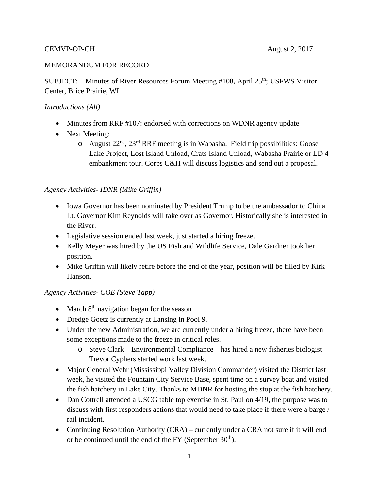#### MEMORANDUM FOR RECORD

SUBJECT: Minutes of River Resources Forum Meeting #108, April 25<sup>th</sup>; USFWS Visitor Center, Brice Prairie, WI

#### *Introductions (All)*

- Minutes from RRF #107: endorsed with corrections on WDNR agency update
- Next Meeting:
	- o August 22nd, 23rd RRF meeting is in Wabasha. Field trip possibilities: Goose Lake Project, Lost Island Unload, Crats Island Unload, Wabasha Prairie or LD 4 embankment tour. Corps C&H will discuss logistics and send out a proposal.

### *Agency Activities- IDNR (Mike Griffin)*

- Iowa Governor has been nominated by President Trump to be the ambassador to China. Lt. Governor Kim Reynolds will take over as Governor. Historically she is interested in the River.
- Legislative session ended last week, just started a hiring freeze.
- Kelly Meyer was hired by the US Fish and Wildlife Service, Dale Gardner took her position.
- Mike Griffin will likely retire before the end of the year, position will be filled by Kirk Hanson.

#### *Agency Activities- COE (Steve Tapp)*

- March  $8<sup>th</sup>$  navigation began for the season
- Dredge Goetz is currently at Lansing in Pool 9.
- Under the new Administration, we are currently under a hiring freeze, there have been some exceptions made to the freeze in critical roles.
	- o Steve Clark Environmental Compliance has hired a new fisheries biologist Trevor Cyphers started work last week.
- Major General Wehr (Mississippi Valley Division Commander) visited the District last week, he visited the Fountain City Service Base, spent time on a survey boat and visited the fish hatchery in Lake City. Thanks to MDNR for hosting the stop at the fish hatchery.
- Dan Cottrell attended a USCG table top exercise in St. Paul on 4/19, the purpose was to discuss with first responders actions that would need to take place if there were a barge / rail incident.
- Continuing Resolution Authority (CRA) currently under a CRA not sure if it will end or be continued until the end of the FY (September  $30<sup>th</sup>$ ).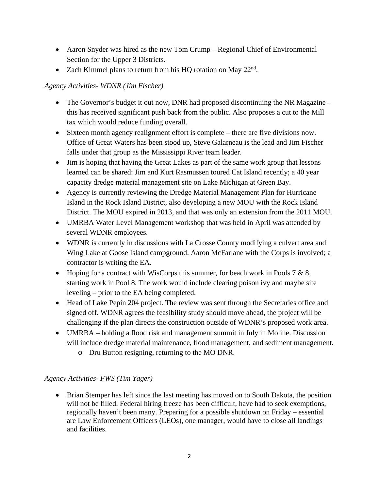- Aaron Snyder was hired as the new Tom Crump Regional Chief of Environmental Section for the Upper 3 Districts.
- Zach Kimmel plans to return from his HQ rotation on May  $22<sup>nd</sup>$ .

# *Agency Activities- WDNR (Jim Fischer)*

- The Governor's budget it out now, DNR had proposed discontinuing the NR Magazine this has received significant push back from the public. Also proposes a cut to the Mill tax which would reduce funding overall.
- Sixteen month agency realignment effort is complete there are five divisions now. Office of Great Waters has been stood up, Steve Galarneau is the lead and Jim Fischer falls under that group as the Mississippi River team leader.
- Jim is hoping that having the Great Lakes as part of the same work group that lessons learned can be shared: Jim and Kurt Rasmussen toured Cat Island recently; a 40 year capacity dredge material management site on Lake Michigan at Green Bay.
- Agency is currently reviewing the Dredge Material Management Plan for Hurricane Island in the Rock Island District, also developing a new MOU with the Rock Island District. The MOU expired in 2013, and that was only an extension from the 2011 MOU.
- UMRBA Water Level Management workshop that was held in April was attended by several WDNR employees.
- WDNR is currently in discussions with La Crosse County modifying a culvert area and Wing Lake at Goose Island campground. Aaron McFarlane with the Corps is involved; a contractor is writing the EA.
- Hoping for a contract with WisCorps this summer, for beach work in Pools 7  $\&$  8, starting work in Pool 8. The work would include clearing poison ivy and maybe site leveling – prior to the EA being completed.
- Head of Lake Pepin 204 project. The review was sent through the Secretaries office and signed off. WDNR agrees the feasibility study should move ahead, the project will be challenging if the plan directs the construction outside of WDNR's proposed work area.
- UMRBA holding a flood risk and management summit in July in Moline. Discussion will include dredge material maintenance, flood management, and sediment management.
	- o Dru Button resigning, returning to the MO DNR.

# *Agency Activities- FWS (Tim Yager)*

• Brian Stemper has left since the last meeting has moved on to South Dakota, the position will not be filled. Federal hiring freeze has been difficult, have had to seek exemptions, regionally haven't been many. Preparing for a possible shutdown on Friday – essential are Law Enforcement Officers (LEOs), one manager, would have to close all landings and facilities.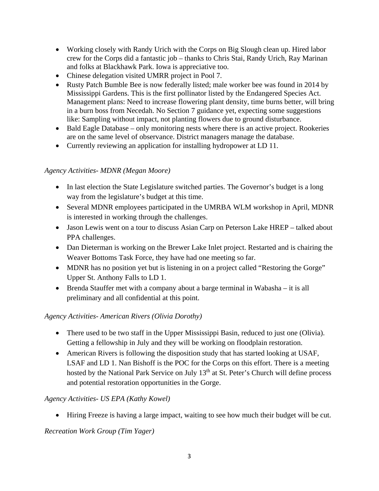- Working closely with Randy Urich with the Corps on Big Slough clean up. Hired labor crew for the Corps did a fantastic job – thanks to Chris Stai, Randy Urich, Ray Marinan and folks at Blackhawk Park. Iowa is appreciative too.
- Chinese delegation visited UMRR project in Pool 7.
- Rusty Patch Bumble Bee is now federally listed; male worker bee was found in 2014 by Mississippi Gardens. This is the first pollinator listed by the Endangered Species Act. Management plans: Need to increase flowering plant density, time burns better, will bring in a burn boss from Necedah. No Section 7 guidance yet, expecting some suggestions like: Sampling without impact, not planting flowers due to ground disturbance.
- Bald Eagle Database only monitoring nests where there is an active project. Rookeries are on the same level of observance. District managers manage the database.
- Currently reviewing an application for installing hydropower at LD 11.

## *Agency Activities- MDNR (Megan Moore)*

- In last election the State Legislature switched parties. The Governor's budget is a long way from the legislature's budget at this time.
- Several MDNR employees participated in the UMRBA WLM workshop in April, MDNR is interested in working through the challenges.
- Jason Lewis went on a tour to discuss Asian Carp on Peterson Lake HREP talked about PPA challenges.
- Dan Dieterman is working on the Brewer Lake Inlet project. Restarted and is chairing the Weaver Bottoms Task Force, they have had one meeting so far.
- MDNR has no position yet but is listening in on a project called "Restoring the Gorge" Upper St. Anthony Falls to LD 1.
- Brenda Stauffer met with a company about a barge terminal in Wabasha it is all preliminary and all confidential at this point.

## *Agency Activities- American Rivers (Olivia Dorothy)*

- There used to be two staff in the Upper Mississippi Basin, reduced to just one (Olivia). Getting a fellowship in July and they will be working on floodplain restoration.
- American Rivers is following the disposition study that has started looking at USAF, LSAF and LD 1. Nan Bishoff is the POC for the Corps on this effort. There is a meeting hosted by the National Park Service on July 13<sup>th</sup> at St. Peter's Church will define process and potential restoration opportunities in the Gorge.

## *Agency Activities- US EPA (Kathy Kowel)*

Hiring Freeze is having a large impact, waiting to see how much their budget will be cut.

## *Recreation Work Group (Tim Yager)*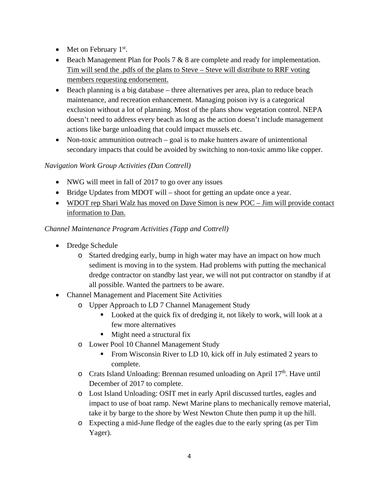- $\bullet$  Met on February 1<sup>st</sup>.
- Beach Management Plan for Pools  $7 & 8$  are complete and ready for implementation. Tim will send the .pdfs of the plans to Steve – Steve will distribute to RRF voting members requesting endorsement.
- $\bullet$  Beach planning is a big database three alternatives per area, plan to reduce beach maintenance, and recreation enhancement. Managing poison ivy is a categorical exclusion without a lot of planning. Most of the plans show vegetation control. NEPA doesn't need to address every beach as long as the action doesn't include management actions like barge unloading that could impact mussels etc.
- Non-toxic ammunition outreach goal is to make hunters aware of unintentional secondary impacts that could be avoided by switching to non-toxic ammo like copper.

## *Navigation Work Group Activities (Dan Cottrell)*

- NWG will meet in fall of 2017 to go over any issues
- Bridge Updates from MDOT will shoot for getting an update once a year.
- WDOT rep Shari Walz has moved on Dave Simon is new POC Jim will provide contact information to Dan.

## *Channel Maintenance Program Activities (Tapp and Cottrell)*

- Dredge Schedule
	- o Started dredging early, bump in high water may have an impact on how much sediment is moving in to the system. Had problems with putting the mechanical dredge contractor on standby last year, we will not put contractor on standby if at all possible. Wanted the partners to be aware.
- Channel Management and Placement Site Activities
	- o Upper Approach to LD 7 Channel Management Study
		- Looked at the quick fix of dredging it, not likely to work, will look at a few more alternatives
		- Might need a structural fix
		- o Lower Pool 10 Channel Management Study
			- From Wisconsin River to LD 10, kick off in July estimated 2 years to complete.
		- $\circ$  Crats Island Unloading: Brennan resumed unloading on April 17<sup>th</sup>. Have until December of 2017 to complete.
		- o Lost Island Unloading: OSIT met in early April discussed turtles, eagles and impact to use of boat ramp. Newt Marine plans to mechanically remove material, take it by barge to the shore by West Newton Chute then pump it up the hill.
		- o Expecting a mid-June fledge of the eagles due to the early spring (as per Tim Yager).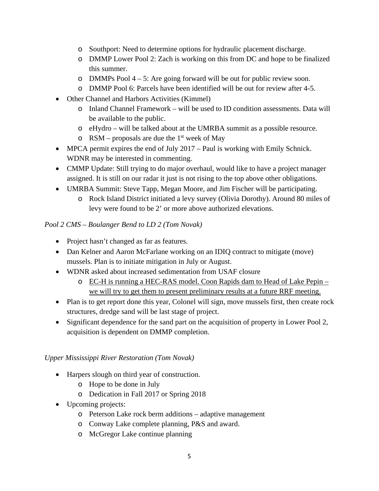- o Southport: Need to determine options for hydraulic placement discharge.
- o DMMP Lower Pool 2: Zach is working on this from DC and hope to be finalized this summer.
- o DMMPs Pool 4 5: Are going forward will be out for public review soon.
- o DMMP Pool 6: Parcels have been identified will be out for review after 4-5.
- Other Channel and Harbors Activities (Kimmel)
	- o Inland Channel Framework will be used to ID condition assessments. Data will be available to the public.
	- o eHydro will be talked about at the UMRBA summit as a possible resource.
	- $\circ$  RSM proposals are due the 1<sup>st</sup> week of May
- MPCA permit expires the end of July 2017 Paul is working with Emily Schnick. WDNR may be interested in commenting.
- CMMP Update: Still trying to do major overhaul, would like to have a project manager assigned. It is still on our radar it just is not rising to the top above other obligations.
- UMRBA Summit: Steve Tapp, Megan Moore, and Jim Fischer will be participating.
	- o Rock Island District initiated a levy survey (Olivia Dorothy). Around 80 miles of levy were found to be 2' or more above authorized elevations.

### *Pool 2 CMS – Boulanger Bend to LD 2 (Tom Novak)*

- Project hasn't changed as far as features.
- Dan Kelner and Aaron McFarlane working on an IDIQ contract to mitigate (move) mussels. Plan is to initiate mitigation in July or August.
- WDNR asked about increased sedimentation from USAF closure
	- o EC-H is running a HEC-RAS model. Coon Rapids dam to Head of Lake Pepin we will try to get them to present preliminary results at a future RRF meeting.
- Plan is to get report done this year, Colonel will sign, move mussels first, then create rock structures, dredge sand will be last stage of project.
- Significant dependence for the sand part on the acquisition of property in Lower Pool 2, acquisition is dependent on DMMP completion.

#### *Upper Mississippi River Restoration (Tom Novak)*

- Harpers slough on third year of construction.
	- o Hope to be done in July
	- o Dedication in Fall 2017 or Spring 2018
- Upcoming projects:
	- o Peterson Lake rock berm additions adaptive management
	- o Conway Lake complete planning, P&S and award.
	- o McGregor Lake continue planning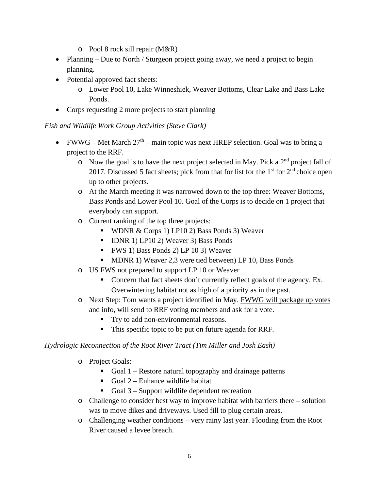- o Pool 8 rock sill repair (M&R)
- Planning Due to North / Sturgeon project going away, we need a project to begin planning.
- Potential approved fact sheets:
	- o Lower Pool 10, Lake Winneshiek, Weaver Bottoms, Clear Lake and Bass Lake Ponds.
- Corps requesting 2 more projects to start planning

*Fish and Wildlife Work Group Activities (Steve Clark)* 

- FWWG Met March  $27<sup>th</sup>$  main topic was next HREP selection. Goal was to bring a project to the RRF.
	- $\circ$  Now the goal is to have the next project selected in May. Pick a 2<sup>nd</sup> project fall of 2017. Discussed 5 fact sheets; pick from that for list for the  $1<sup>st</sup>$  for  $2<sup>nd</sup>$  choice open up to other projects.
	- o At the March meeting it was narrowed down to the top three: Weaver Bottoms, Bass Ponds and Lower Pool 10. Goal of the Corps is to decide on 1 project that everybody can support.
	- o Current ranking of the top three projects:
		- WDNR  $& \text{Corps}$  1) LP10 2) Bass Ponds 3) Weaver
		- IDNR 1) LP10 2) Weaver 3) Bass Ponds
		- FWS 1) Bass Ponds 2) LP 10 3) Weaver
		- **MDNR 1) Weaver 2,3 were tied between) LP 10, Bass Ponds**
	- o US FWS not prepared to support LP 10 or Weaver
		- Concern that fact sheets don't currently reflect goals of the agency. Ex. Overwintering habitat not as high of a priority as in the past.
	- o Next Step: Tom wants a project identified in May. FWWG will package up votes and info, will send to RRF voting members and ask for a vote.
		- Try to add non-environmental reasons.
		- This specific topic to be put on future agenda for RRF.

#### *Hydrologic Reconnection of the Root River Tract (Tim Miller and Josh Eash)*

- o Project Goals:
	- Goal  $1$  Restore natural topography and drainage patterns
	- Goal  $2$  Enhance wildlife habitat
	- Goal  $3$  Support wildlife dependent recreation
- $\circ$  Challenge to consider best way to improve habitat with barriers there solution was to move dikes and driveways. Used fill to plug certain areas.
- o Challenging weather conditions very rainy last year. Flooding from the Root River caused a levee breach.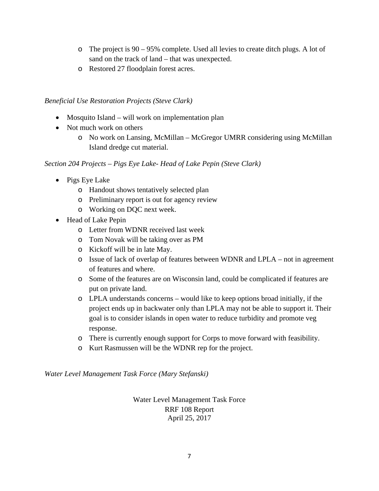- o The project is 90 95% complete. Used all levies to create ditch plugs. A lot of sand on the track of land – that was unexpected.
- o Restored 27 floodplain forest acres.

#### *Beneficial Use Restoration Projects (Steve Clark)*

- Mosquito Island will work on implementation plan
- Not much work on others
	- o No work on Lansing, McMillan McGregor UMRR considering using McMillan Island dredge cut material.

*Section 204 Projects – Pigs Eye Lake- Head of Lake Pepin (Steve Clark)* 

- Pigs Eye Lake
	- o Handout shows tentatively selected plan
	- o Preliminary report is out for agency review
	- o Working on DQC next week.
- Head of Lake Pepin
	- o Letter from WDNR received last week
	- o Tom Novak will be taking over as PM
	- o Kickoff will be in late May.
	- o Issue of lack of overlap of features between WDNR and LPLA not in agreement of features and where.
	- o Some of the features are on Wisconsin land, could be complicated if features are put on private land.
	- o LPLA understands concerns would like to keep options broad initially, if the project ends up in backwater only than LPLA may not be able to support it. Their goal is to consider islands in open water to reduce turbidity and promote veg response.
	- o There is currently enough support for Corps to move forward with feasibility.
	- o Kurt Rasmussen will be the WDNR rep for the project.

*Water Level Management Task Force (Mary Stefanski)* 

Water Level Management Task Force RRF 108 Report April 25, 2017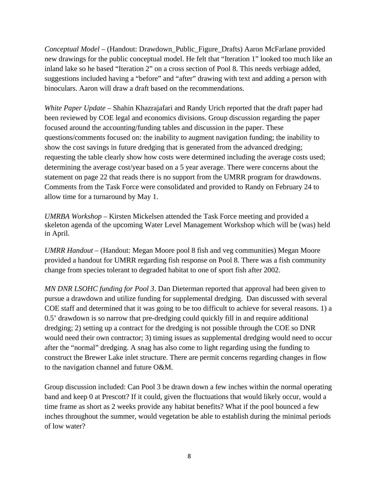*Conceptual Model* – (Handout: Drawdown\_Public\_Figure\_Drafts) Aaron McFarlane provided new drawings for the public conceptual model. He felt that "Iteration 1" looked too much like an inland lake so he based "Iteration 2" on a cross section of Pool 8. This needs verbiage added, suggestions included having a "before" and "after" drawing with text and adding a person with binoculars. Aaron will draw a draft based on the recommendations.

*White Paper Update* – Shahin Khazrajafari and Randy Urich reported that the draft paper had been reviewed by COE legal and economics divisions. Group discussion regarding the paper focused around the accounting/funding tables and discussion in the paper. These questions/comments focused on: the inability to augment navigation funding; the inability to show the cost savings in future dredging that is generated from the advanced dredging; requesting the table clearly show how costs were determined including the average costs used; determining the average cost/year based on a 5 year average. There were concerns about the statement on page 22 that reads there is no support from the UMRR program for drawdowns. Comments from the Task Force were consolidated and provided to Randy on February 24 to allow time for a turnaround by May 1.

*UMRBA Workshop –* Kirsten Mickelsen attended the Task Force meeting and provided a skeleton agenda of the upcoming Water Level Management Workshop which will be (was) held in April.

*UMRR Handout* – (Handout: Megan Moore pool 8 fish and veg communities) Megan Moore provided a handout for UMRR regarding fish response on Pool 8. There was a fish community change from species tolerant to degraded habitat to one of sport fish after 2002.

*MN DNR LSOHC funding for Pool 3*. Dan Dieterman reported that approval had been given to pursue a drawdown and utilize funding for supplemental dredging. Dan discussed with several COE staff and determined that it was going to be too difficult to achieve for several reasons. 1) a 0.5' drawdown is so narrow that pre-dredging could quickly fill in and require additional dredging; 2) setting up a contract for the dredging is not possible through the COE so DNR would need their own contractor; 3) timing issues as supplemental dredging would need to occur after the "normal" dredging. A snag has also come to light regarding using the funding to construct the Brewer Lake inlet structure. There are permit concerns regarding changes in flow to the navigation channel and future O&M.

Group discussion included: Can Pool 3 be drawn down a few inches within the normal operating band and keep 0 at Prescott? If it could, given the fluctuations that would likely occur, would a time frame as short as 2 weeks provide any habitat benefits? What if the pool bounced a few inches throughout the summer, would vegetation be able to establish during the minimal periods of low water?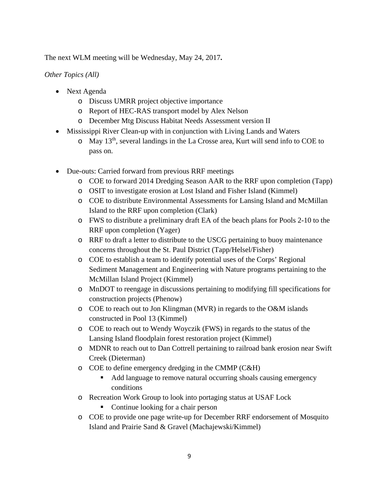The next WLM meeting will be Wednesday, May 24, 2017**.** 

*Other Topics (All)* 

- Next Agenda
	- o Discuss UMRR project objective importance
	- o Report of HEC-RAS transport model by Alex Nelson
	- o December Mtg Discuss Habitat Needs Assessment version II
- Mississippi River Clean-up with in conjunction with Living Lands and Waters
	- $\circ$  May 13<sup>th</sup>, several landings in the La Crosse area, Kurt will send info to COE to pass on.
- Due-outs: Carried forward from previous RRF meetings
	- o COE to forward 2014 Dredging Season AAR to the RRF upon completion (Tapp)
	- o OSIT to investigate erosion at Lost Island and Fisher Island (Kimmel)
	- o COE to distribute Environmental Assessments for Lansing Island and McMillan Island to the RRF upon completion (Clark)
	- o FWS to distribute a preliminary draft EA of the beach plans for Pools 2-10 to the RRF upon completion (Yager)
	- o RRF to draft a letter to distribute to the USCG pertaining to buoy maintenance concerns throughout the St. Paul District (Tapp/Helsel/Fisher)
	- o COE to establish a team to identify potential uses of the Corps' Regional Sediment Management and Engineering with Nature programs pertaining to the McMillan Island Project (Kimmel)
	- o MnDOT to reengage in discussions pertaining to modifying fill specifications for construction projects (Phenow)
	- o COE to reach out to Jon Klingman (MVR) in regards to the O&M islands constructed in Pool 13 (Kimmel)
	- o COE to reach out to Wendy Woyczik (FWS) in regards to the status of the Lansing Island floodplain forest restoration project (Kimmel)
	- o MDNR to reach out to Dan Cottrell pertaining to railroad bank erosion near Swift Creek (Dieterman)
	- o COE to define emergency dredging in the CMMP (C&H)
		- Add language to remove natural occurring shoals causing emergency conditions
	- o Recreation Work Group to look into portaging status at USAF Lock
		- Continue looking for a chair person
	- o COE to provide one page write-up for December RRF endorsement of Mosquito Island and Prairie Sand & Gravel (Machajewski/Kimmel)